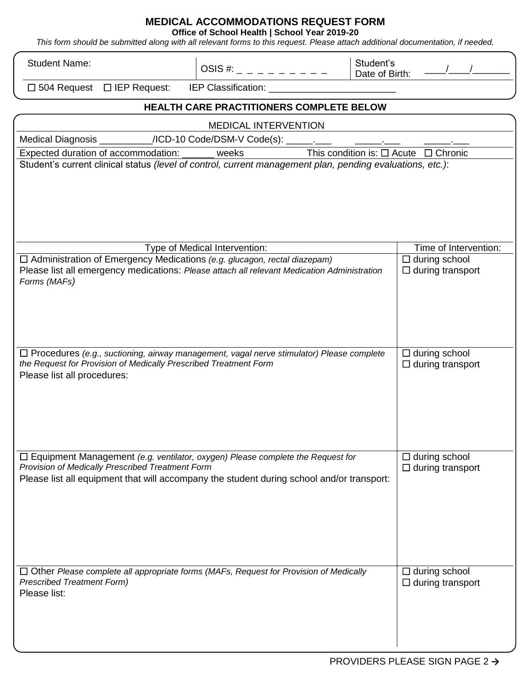## **MEDICAL ACCOMMODATIONS REQUEST FORM**

**Office of School Health | School Year 2019-20**

*This form should be submitted along with all relevant forms to this request. Please attach additional documentation, if needed.*

| <b>Student Name:</b>                                                                                                                                                                                                                   | OSIS #: _ _ _ _ _ _ _ _ _ _   | Student's<br>Date of Birth:                     |  |  |  |  |
|----------------------------------------------------------------------------------------------------------------------------------------------------------------------------------------------------------------------------------------|-------------------------------|-------------------------------------------------|--|--|--|--|
| $\Box$ 504 Request $\Box$ IEP Request:<br>IEP Classification:                                                                                                                                                                          |                               |                                                 |  |  |  |  |
| HEALTH CARE PRACTITIONERS COMPLETE BELOW                                                                                                                                                                                               |                               |                                                 |  |  |  |  |
| <b>MEDICAL INTERVENTION</b>                                                                                                                                                                                                            |                               |                                                 |  |  |  |  |
| Medical Diagnosis ___________/ICD-10 Code/DSM-V Code(s): ______.                                                                                                                                                                       |                               |                                                 |  |  |  |  |
| Expected duration of accommodation: ______ weeks<br>This condition is: $\Box$ Acute $\Box$ Chronic                                                                                                                                     |                               |                                                 |  |  |  |  |
| Student's current clinical status (level of control, current management plan, pending evaluations, etc.):                                                                                                                              |                               |                                                 |  |  |  |  |
|                                                                                                                                                                                                                                        | Type of Medical Intervention: | Time of Intervention:                           |  |  |  |  |
| □ Administration of Emergency Medications (e.g. glucagon, rectal diazepam)<br>Please list all emergency medications: Please attach all relevant Medication Administration<br>Forms (MAFs)                                              |                               | $\Box$ during school<br>$\Box$ during transport |  |  |  |  |
| $\Box$ Procedures (e.g., suctioning, airway management, vagal nerve stimulator) Please complete<br>the Request for Provision of Medically Prescribed Treatment Form<br>Please list all procedures:                                     |                               | $\Box$ during school<br>$\Box$ during transport |  |  |  |  |
| $\Box$ Equipment Management (e.g. ventilator, oxygen) Please complete the Request for<br>Provision of Medically Prescribed Treatment Form<br>Please list all equipment that will accompany the student during school and/or transport: |                               | $\Box$ during school<br>$\Box$ during transport |  |  |  |  |
| $\Box$ Other Please complete all appropriate forms (MAFs, Request for Provision of Medically<br><b>Prescribed Treatment Form)</b><br>Please list:                                                                                      |                               | $\Box$ during school<br>$\Box$ during transport |  |  |  |  |